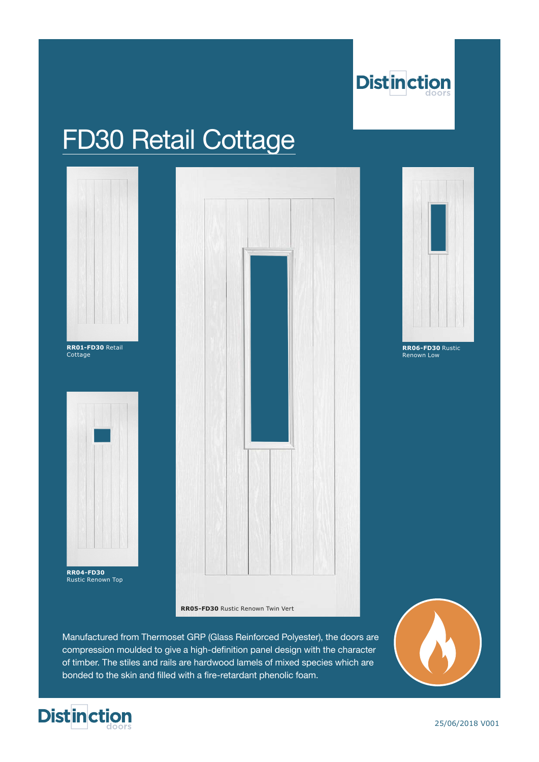

# FD30 Retail Cottage



**RR04-FD30**  Rustic Renown Top





**RR06-FD30** Rustic Renown Low

**RR05-FD30** Rustic Renown Twin Vert

Manufactured from Thermoset GRP (Glass Reinforced Polyester), the doors are compression moulded to give a high-definition panel design with the character of timber. The stiles and rails are hardwood lamels of mixed species which are bonded to the skin and filled with a fire-retardant phenolic foam.





25/06/2018 V001